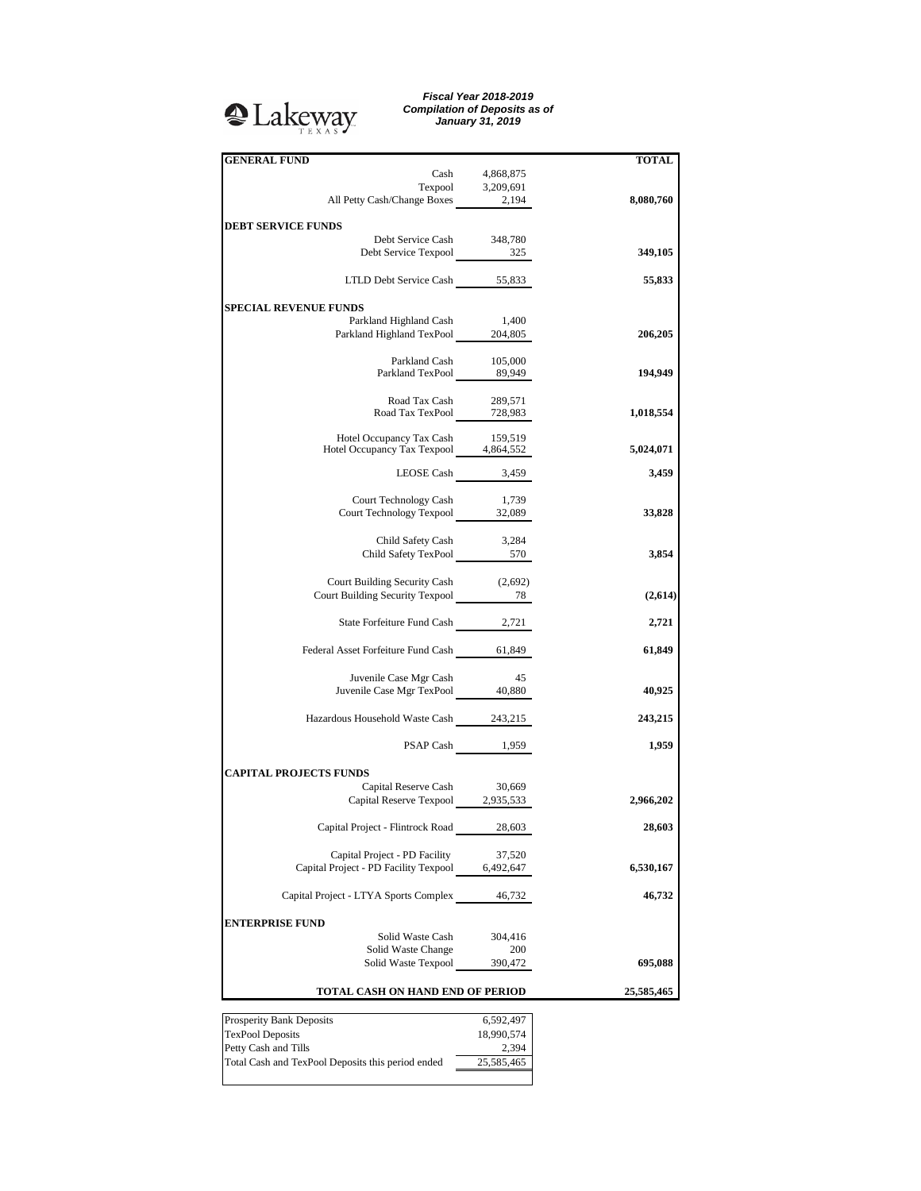

*Fiscal Year 2018-2019 Compilation of Deposits as of January 31, 2019*

| <b>GENERAL FUND</b>                                                        |                   | <b>TOTAL</b> |
|----------------------------------------------------------------------------|-------------------|--------------|
|                                                                            | Cash 4,868,875    |              |
|                                                                            | Texpool 3,209,691 |              |
| All Petty Cash/Change Boxes 2,194                                          |                   | 8,080,760    |
|                                                                            |                   |              |
| <b>DEBT SERVICE FUNDS</b>                                                  |                   |              |
| Debt Service Cash 348,780<br>Debt Service Texpool 325                      |                   |              |
|                                                                            |                   | 349,105      |
| LTLD Debt Service Cash 55,833                                              |                   | 55,833       |
|                                                                            |                   |              |
| <b>SPECIAL REVENUE FUNDS</b>                                               |                   |              |
|                                                                            |                   |              |
| Parkland Highland Cash 1,400<br>Parkland Highland TexPool 204,805          |                   | 206,205      |
|                                                                            |                   |              |
|                                                                            |                   |              |
| Parkland Cash 105,000<br>Parkland TexPool 89,949                           |                   | 194,949      |
|                                                                            |                   |              |
| Road Tax Cash                                                              | 289,571           |              |
| Road Tax TexPool 728,983                                                   |                   | 1,018,554    |
|                                                                            |                   |              |
| Hotel Occupancy Tax Cash 159,519<br>Hotel Occupancy Tax Texpool 4,864,552  |                   |              |
|                                                                            |                   | 5,024,071    |
| LEOSE Cash 3,459                                                           |                   | 3,459        |
|                                                                            |                   |              |
| Court Technology Cash                                                      | 1,739             |              |
| Court Technology Texpool 32,089                                            |                   | 33,828       |
|                                                                            |                   |              |
| Child Safety Cash 3,284                                                    |                   |              |
| Child Safety TexPool 570                                                   |                   | 3,854        |
|                                                                            |                   |              |
| Court Building Security Cash (2,692)<br>Court Building Security Texpool 78 |                   |              |
|                                                                            |                   | (2,614)      |
|                                                                            |                   |              |
| State Forfeiture Fund Cash 2,721                                           |                   | 2,721        |
|                                                                            |                   |              |
| Federal Asset Forfeiture Fund Cash 61,849                                  |                   | 61,849       |
|                                                                            |                   |              |
| Juvenile Case Mgr Cash                                                     | - 45              |              |
| Juvenile Case Mgr TexPool 40,880                                           |                   | 40,925       |
|                                                                            |                   |              |
| Hazardous Household Waste Cash 243,215                                     |                   | 243,215      |
|                                                                            |                   |              |
|                                                                            | PSAP Cash 1,959   | 1,959        |
| <b>CAPITAL PROJECTS FUNDS</b>                                              |                   |              |
| Capital Reserve Cash                                                       | 30,669            |              |
| Capital Reserve Texpool 2,935,533                                          |                   | 2,966,202    |
|                                                                            |                   |              |
| Capital Project - Flintrock Road                                           | 28,603            | 28,603       |
|                                                                            |                   |              |
| Capital Project - PD Facility                                              | 37,520            |              |
| Capital Project - PD Facility Texpool                                      | 6,492,647         | 6,530,167    |
|                                                                            |                   |              |
| Capital Project - LTYA Sports Complex                                      | 46,732            | 46,732       |
|                                                                            |                   |              |
| <b>ENTERPRISE FUND</b>                                                     |                   |              |
| Solid Waste Cash                                                           | 304,416           |              |
| Solid Waste Change                                                         | 200               |              |
| Solid Waste Texpool                                                        | 390,472           | 695,088      |
|                                                                            |                   |              |
| TOTAL CASH ON HAND END OF PERIOD                                           | 25,585,465        |              |
|                                                                            |                   |              |
| Prosperity Bank Deposits                                                   | 6,592,497         |              |
| <b>TexPool Deposits</b>                                                    | 18,990,574        |              |

Petty Cash and Tills 2,394 Total Cash and TexPool Deposits this period ended 25,585,465